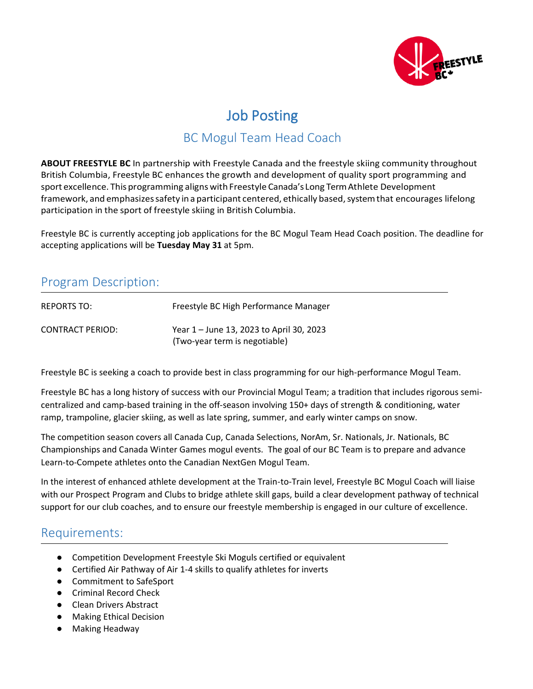

# Job Posting

# BC Mogul Team Head Coach

**ABOUT FREESTYLE BC** In partnership with Freestyle Canada and the freestyle skiing community throughout British Columbia, Freestyle BC enhances the growth and development of quality sport programming and sport excellence. This programming aligns with Freestyle Canada's Long Term Athlete Development framework, and emphasizes safety in a participant centered, ethically based, system that encourages lifelong participation in the sport of freestyle skiing in British Columbia.

Freestyle BC is currently accepting job applications for the BC Mogul Team Head Coach position. The deadline for accepting applications will be **Tuesday May 31** at 5pm.

### Program Description:

| REPORTS TO:      | Freestyle BC High Performance Manager                                     |
|------------------|---------------------------------------------------------------------------|
| CONTRACT PERIOD: | Year 1 – June 13, 2023 to April 30, 2023<br>(Two-year term is negotiable) |

Freestyle BC is seeking a coach to provide best in class programming for our high-performance Mogul Team.

Freestyle BC has a long history of success with our Provincial Mogul Team; a tradition that includes rigorous semicentralized and camp-based training in the off-season involving 150+ days of strength & conditioning, water ramp, trampoline, glacier skiing, as well as late spring, summer, and early winter camps on snow.

The competition season covers all Canada Cup, Canada Selections, NorAm, Sr. Nationals, Jr. Nationals, BC Championships and Canada Winter Games mogul events. The goal of our BC Team is to prepare and advance Learn-to-Compete athletes onto the Canadian NextGen Mogul Team.

In the interest of enhanced athlete development at the Train-to-Train level, Freestyle BC Mogul Coach will liaise with our Prospect Program and Clubs to bridge athlete skill gaps, build a clear development pathway of technical support for our club coaches, and to ensure our freestyle membership is engaged in our culture of excellence.

#### Requirements:

- Competition Development Freestyle Ski Moguls certified or equivalent
- Certified Air Pathway of Air 1-4 skills to qualify athletes for inverts
- Commitment to SafeSport
- Criminal Record Check
- Clean Drivers Abstract
- Making Ethical Decision
- Making Headway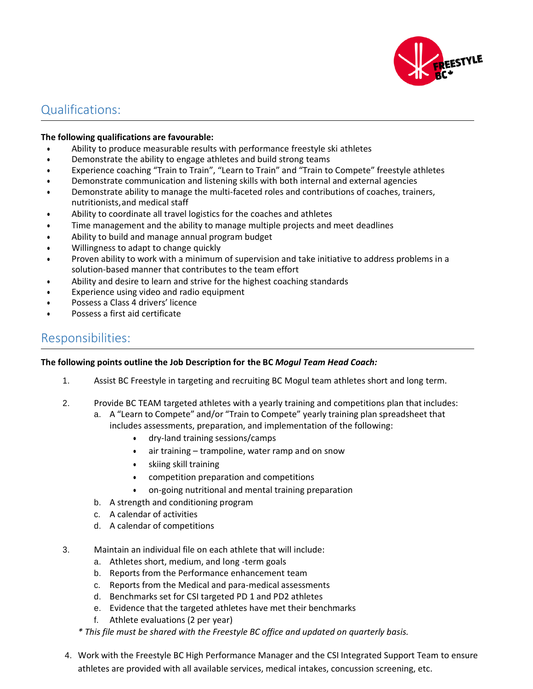

### Qualifications:

#### **The following qualifications are favourable:**

- Ability to produce measurable results with performance freestyle ski athletes
- Demonstrate the ability to engage athletes and build strong teams
- Experience coaching "Train to Train", "Learn to Train" and "Train to Compete" freestyle athletes
- Demonstrate communication and listening skills with both internal and external agencies
- Demonstrate ability to manage the multi-faceted roles and contributions of coaches, trainers, nutritionists,and medical staff
- Ability to coordinate all travel logistics for the coaches and athletes
- Time management and the ability to manage multiple projects and meet deadlines
- Ability to build and manage annual program budget
- Willingness to adapt to change quickly
- Proven ability to work with a minimum of supervision and take initiative to address problems in a solution-based manner that contributes to the team effort
- Ability and desire to learn and strive for the highest coaching standards
- Experience using video and radio equipment
- Possess a Class 4 drivers' licence
- Possess a first aid certificate

#### Responsibilities:

#### **The following points outline the Job Description for the BC** *Mogul Team Head Coach:*

- 1. Assist BC Freestyle in targeting and recruiting BC Mogul team athletes short and long term.
- 2. Provide BC TEAM targeted athletes with a yearly training and competitions plan that includes:
	- a. A "Learn to Compete" and/or "Train to Compete" yearly training plan spreadsheet that
		- includes assessments, preparation, and implementation of the following:
			- dry-land training sessions/camps
			- air training trampoline, water ramp and on snow
			- skiing skill training
			- competition preparation and competitions
			- on-going nutritional and mental training preparation
	- b. A strength and conditioning program
	- c. A calendar of activities
	- d. A calendar of competitions
- 3. Maintain an individual file on each athlete that will include:
	- a. Athletes short, medium, and long -term goals
	- b. Reports from the Performance enhancement team
	- c. Reports from the Medical and para-medical assessments
	- d. Benchmarks set for CSI targeted PD 1 and PD2 athletes
	- e. Evidence that the targeted athletes have met their benchmarks
	- f. Athlete evaluations (2 per year)
	- *\* This file must be shared with the Freestyle BC office and updated on quarterly basis.*
- 4. Work with the Freestyle BC High Performance Manager and the CSI Integrated Support Team to ensure athletes are provided with all available services, medical intakes, concussion screening, etc.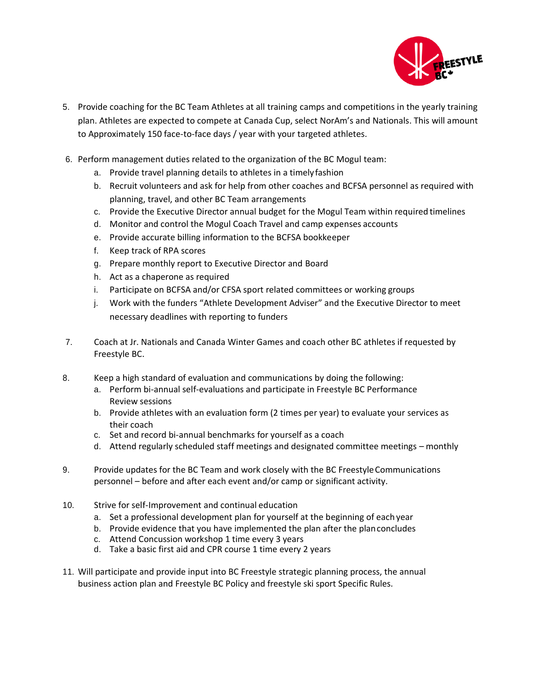

- 5. Provide coaching for the BC Team Athletes at all training camps and competitions in the yearly training plan. Athletes are expected to compete at Canada Cup, select NorAm's and Nationals. This will amount to Approximately 150 face-to-face days / year with your targeted athletes.
- 6. Perform management duties related to the organization of the BC Mogul team:
	- a. Provide travel planning details to athletes in a timelyfashion
	- b. Recruit volunteers and ask for help from other coaches and BCFSA personnel as required with planning, travel, and other BC Team arrangements
	- c. Provide the Executive Director annual budget for the Mogul Team within required timelines
	- d. Monitor and control the Mogul Coach Travel and camp expenses accounts
	- e. Provide accurate billing information to the BCFSA bookkeeper
	- f. Keep track of RPA scores
	- g. Prepare monthly report to Executive Director and Board
	- h. Act as a chaperone as required
	- i. Participate on BCFSA and/or CFSA sport related committees or working groups
	- j. Work with the funders "Athlete Development Adviser" and the Executive Director to meet necessary deadlines with reporting to funders
- 7. Coach at Jr. Nationals and Canada Winter Games and coach other BC athletes if requested by Freestyle BC.
- 8. Keep a high standard of evaluation and communications by doing the following:
	- a. Perform bi-annual self-evaluations and participate in Freestyle BC Performance Review sessions
	- b. Provide athletes with an evaluation form (2 times per year) to evaluate your services as their coach
	- c. Set and record bi-annual benchmarks for yourself as a coach
	- d. Attend regularly scheduled staff meetings and designated committee meetings monthly
- 9. Provide updates for the BC Team and work closely with the BC FreestyleCommunications personnel – before and after each event and/or camp or significant activity.
- 10. Strive for self-Improvement and continual education
	- a. Set a professional development plan for yourself at the beginning of each year
	- b. Provide evidence that you have implemented the plan after the planconcludes
	- c. Attend Concussion workshop 1 time every 3 years
	- d. Take a basic first aid and CPR course 1 time every 2 years
- 11. Will participate and provide input into BC Freestyle strategic planning process, the annual business action plan and Freestyle BC Policy and freestyle ski sport Specific Rules.